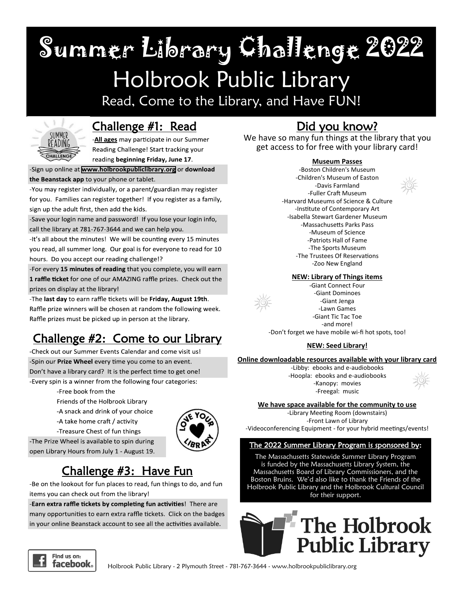Summer Library Challenge 2022

## Holbrook Public Library

Read, Come to the Library, and Have FUN!



### Challenge #1: Read

-All ages may participate in our Summer Reading Challenge! Start tracking your reading beginning Friday, June 17.

-Sign up online at www.holbrookpubliclibrary.org or download

the Beanstack app to your phone or tablet.

-You may register individually, or a parent/guardian may register for you. Families can register together! If you register as a family, sign up the adult first, then add the kids.

-Save your login name and password! If you lose your login info, call the library at 781-767-3644 and we can help you.

-It's all about the minutes! We will be counting every 15 minutes you read, all summer long. Our goal is for everyone to read for 10 hours. Do you accept our reading challenge!?

-For every 15 minutes of reading that you complete, you will earn 1 raffle ticket for one of our AMAZING raffle prizes. Check out the prizes on display at the library!

-The last day to earn raffle tickets will be Friday, August 19th. Raffle prize winners will be chosen at random the following week. Raffle prizes must be picked up in person at the library.

## Challenge #2: Come to our Library

-Check out our Summer Events Calendar and come visit us! -Spin our Prize Wheel every time you come to an event. Don't have a library card? It is the perfect time to get one! -Every spin is a winner from the following four categories:

-Free book from the

- Friends of the Holbrook Library
- -A snack and drink of your choice
- -A take home craft / activity
- -Treasure Chest of fun things



-The Prize Wheel is available to spin during open Library Hours from July 1 - August 19.

## Challenge #3: Have Fun

-Be on the lookout for fun places to read, fun things to do, and fun items you can check out from the library!

-Earn extra raffle tickets by completing fun activities! There are many opportunities to earn extra raffle tickets. Click on the badges in your online Beanstack account to see all the activities available.

## Did you know?

We have so many fun things at the library that you get access to for free with your library card!

#### **Museum Passes**

-Boston Children's Museum -Children's Museum of Easton -Davis Farmland -Fuller Craft Museum -Harvard Museums of Science & Culture -Institute of Contemporary Art -Isabella Stewart Gardener Museum -Massachusetts Parks Pass -Museum of Science -Patriots Hall of Fame -The Sports Museum -The Trustees Of Reservations -Zoo New England







-Giant Connect Four -Giant Dominoes -Giant Jenga -Lawn Games -Giant Tic Tac Toe -and more!

-Don't forget we have mobile wi-fi hot spots, too!

#### **NEW: Seed Library!**

#### **Online downloadable resources available with your library card**

-Libby: ebooks and e-audiobooks -Hoopla: ebooks and e-audiobooks -Kanopy: movies -Freegal: music



**We have space available for the community to use**

-Library Meeting Room (downstairs) -Front Lawn of Library -Videoconferencing Equipment - for your hybrid meetings/events!

#### The 2022 Summer Library Program is sponsored by:

The Massachusetts Statewide Summer Library Program is funded by the Massachusetts Library System, the Massachusetts Board of Library Commissioners, and the Boston Bruins. We'd also like to thank the Friends of the Holbrook Public Library and the Holbrook Cultural Council for their support.





Holbrook Public Library - 2 Plymouth Street - 781-767-3644 - www.holbrookpubliclibrary.org